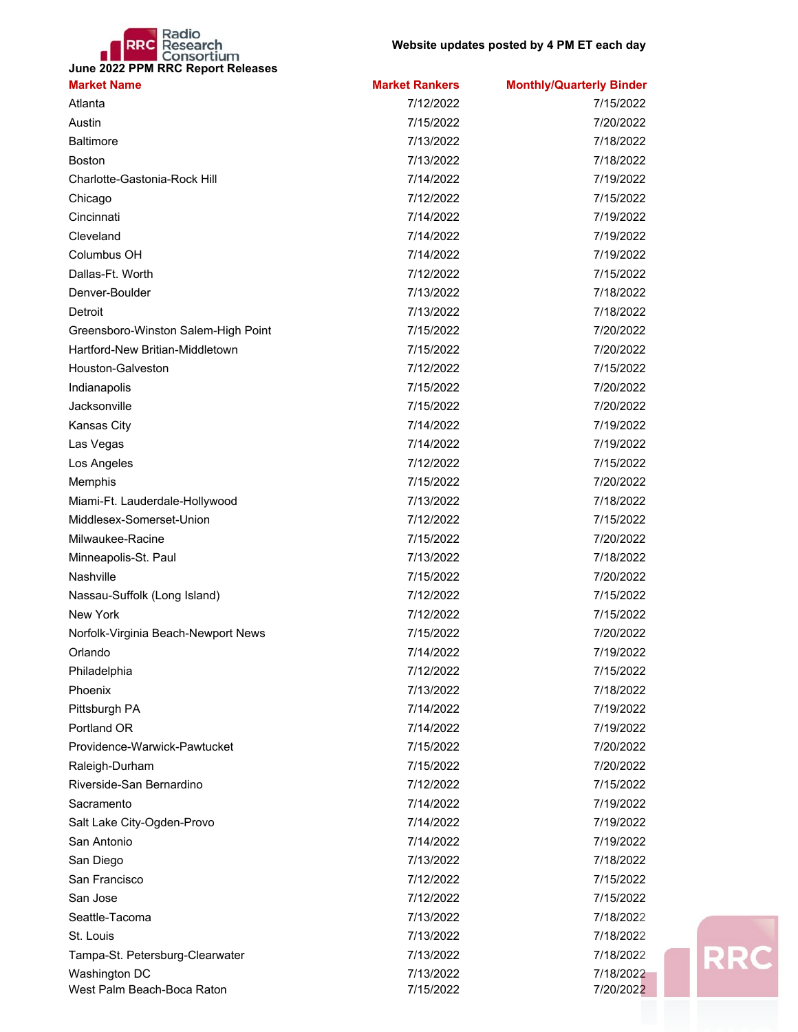## **RRC** Research<br>June 2022 PPM RRC Report Releases

| <b>Market Name</b>                  | <b>Market Rankers</b> | <b>Monthly/Quarterly Binder</b> |
|-------------------------------------|-----------------------|---------------------------------|
| Atlanta                             | 7/12/2022             | 7/15/2022                       |
| Austin                              | 7/15/2022             | 7/20/2022                       |
| <b>Baltimore</b>                    | 7/13/2022             | 7/18/2022                       |
| <b>Boston</b>                       | 7/13/2022             | 7/18/2022                       |
| Charlotte-Gastonia-Rock Hill        | 7/14/2022             | 7/19/2022                       |
| Chicago                             | 7/12/2022             | 7/15/2022                       |
| Cincinnati                          | 7/14/2022             | 7/19/2022                       |
| Cleveland                           | 7/14/2022             | 7/19/2022                       |
| Columbus OH                         | 7/14/2022             | 7/19/2022                       |
| Dallas-Ft. Worth                    | 7/12/2022             | 7/15/2022                       |
| Denver-Boulder                      | 7/13/2022             | 7/18/2022                       |
| Detroit                             | 7/13/2022             | 7/18/2022                       |
| Greensboro-Winston Salem-High Point | 7/15/2022             | 7/20/2022                       |
| Hartford-New Britian-Middletown     | 7/15/2022             | 7/20/2022                       |
| <b>Houston-Galveston</b>            | 7/12/2022             | 7/15/2022                       |
| Indianapolis                        | 7/15/2022             | 7/20/2022                       |
| Jacksonville                        | 7/15/2022             | 7/20/2022                       |
| Kansas City                         | 7/14/2022             | 7/19/2022                       |
| Las Vegas                           | 7/14/2022             | 7/19/2022                       |
| Los Angeles                         | 7/12/2022             | 7/15/2022                       |
| Memphis                             | 7/15/2022             | 7/20/2022                       |
| Miami-Ft. Lauderdale-Hollywood      | 7/13/2022             | 7/18/2022                       |
| Middlesex-Somerset-Union            | 7/12/2022             | 7/15/2022                       |
| Milwaukee-Racine                    | 7/15/2022             | 7/20/2022                       |
| Minneapolis-St. Paul                | 7/13/2022             | 7/18/2022                       |
| Nashville                           | 7/15/2022             | 7/20/2022                       |
| Nassau-Suffolk (Long Island)        | 7/12/2022             | 7/15/2022                       |
| <b>New York</b>                     | 7/12/2022             | 7/15/2022                       |
| Norfolk-Virginia Beach-Newport News | 7/15/2022             | 7/20/2022                       |
| Orlando                             | 7/14/2022             | 7/19/2022                       |
| Philadelphia                        | 7/12/2022             | 7/15/2022                       |
| Phoenix                             | 7/13/2022             | 7/18/2022                       |
| Pittsburgh PA                       | 7/14/2022             | 7/19/2022                       |
| Portland OR                         | 7/14/2022             | 7/19/2022                       |
| Providence-Warwick-Pawtucket        | 7/15/2022             | 7/20/2022                       |
| Raleigh-Durham                      | 7/15/2022             | 7/20/2022                       |
| Riverside-San Bernardino            | 7/12/2022             | 7/15/2022                       |
| Sacramento                          | 7/14/2022             | 7/19/2022                       |
| Salt Lake City-Ogden-Provo          | 7/14/2022             | 7/19/2022                       |
| San Antonio                         | 7/14/2022             | 7/19/2022                       |
| San Diego                           | 7/13/2022             | 7/18/2022                       |
| San Francisco                       | 7/12/2022             | 7/15/2022                       |
| San Jose                            | 7/12/2022             | 7/15/2022                       |
| Seattle-Tacoma                      | 7/13/2022             | 7/18/2022                       |
| St. Louis                           | 7/13/2022             | 7/18/2022                       |
| Tampa-St. Petersburg-Clearwater     | 7/13/2022             | 7/18/2022                       |
| Washington DC                       | 7/13/2022             | 7/18/2022                       |
| West Palm Beach-Boca Raton          | 7/15/2022             | 7/20/2022                       |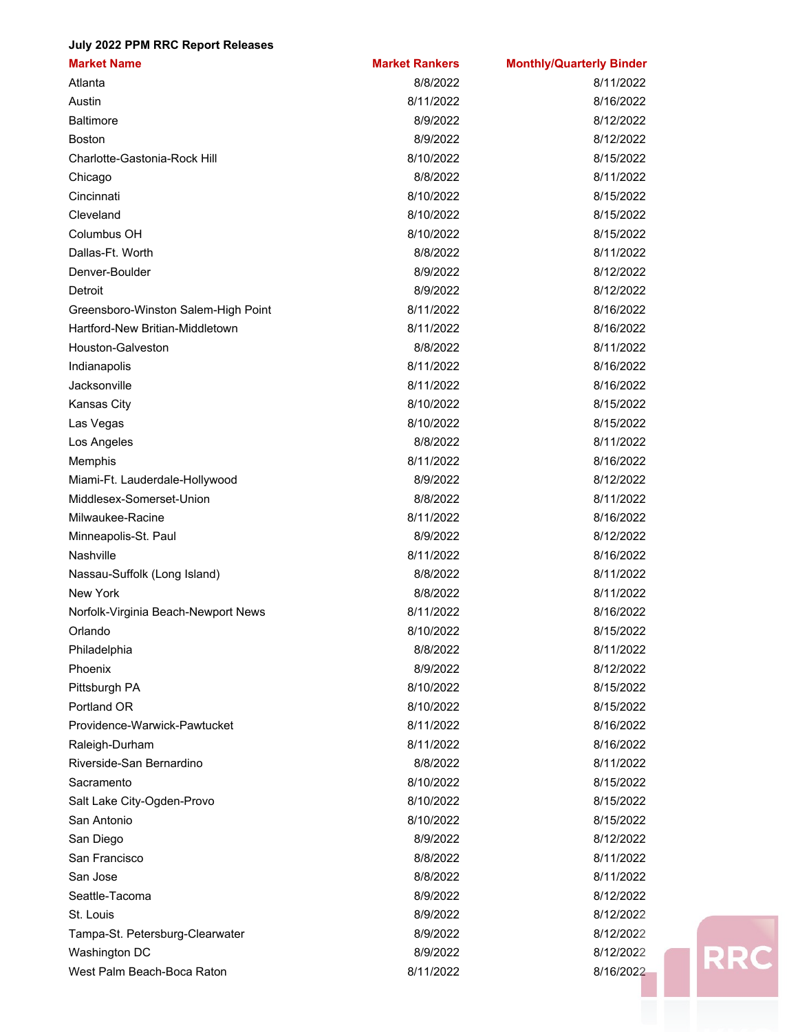## **July 2022 PPM RRC Report Releases**

| <b>Market Name</b>                  | <b>Market Rankers</b> | <b>Monthly/Quarterly Binder</b> |
|-------------------------------------|-----------------------|---------------------------------|
| Atlanta                             | 8/8/2022              | 8/11/2022                       |
| Austin                              | 8/11/2022             | 8/16/2022                       |
| <b>Baltimore</b>                    | 8/9/2022              | 8/12/2022                       |
| <b>Boston</b>                       | 8/9/2022              | 8/12/2022                       |
| Charlotte-Gastonia-Rock Hill        | 8/10/2022             | 8/15/2022                       |
| Chicago                             | 8/8/2022              | 8/11/2022                       |
| Cincinnati                          | 8/10/2022             | 8/15/2022                       |
| Cleveland                           | 8/10/2022             | 8/15/2022                       |
| Columbus OH                         | 8/10/2022             | 8/15/2022                       |
| Dallas-Ft. Worth                    | 8/8/2022              | 8/11/2022                       |
| Denver-Boulder                      | 8/9/2022              | 8/12/2022                       |
| Detroit                             | 8/9/2022              | 8/12/2022                       |
| Greensboro-Winston Salem-High Point | 8/11/2022             | 8/16/2022                       |
| Hartford-New Britian-Middletown     | 8/11/2022             | 8/16/2022                       |
| Houston-Galveston                   | 8/8/2022              | 8/11/2022                       |
| Indianapolis                        | 8/11/2022             | 8/16/2022                       |
| Jacksonville                        | 8/11/2022             | 8/16/2022                       |
| <b>Kansas City</b>                  | 8/10/2022             | 8/15/2022                       |
| Las Vegas                           | 8/10/2022             | 8/15/2022                       |
| Los Angeles                         | 8/8/2022              | 8/11/2022                       |
| Memphis                             | 8/11/2022             | 8/16/2022                       |
| Miami-Ft. Lauderdale-Hollywood      | 8/9/2022              | 8/12/2022                       |
| Middlesex-Somerset-Union            | 8/8/2022              | 8/11/2022                       |
| Milwaukee-Racine                    | 8/11/2022             | 8/16/2022                       |
| Minneapolis-St. Paul                | 8/9/2022              | 8/12/2022                       |
| Nashville                           | 8/11/2022             | 8/16/2022                       |
| Nassau-Suffolk (Long Island)        | 8/8/2022              | 8/11/2022                       |
| New York                            | 8/8/2022              | 8/11/2022                       |
| Norfolk-Virginia Beach-Newport News | 8/11/2022             | 8/16/2022                       |
| Orlando                             | 8/10/2022             | 8/15/2022                       |
| Philadelphia                        | 8/8/2022              | 8/11/2022                       |
| Phoenix                             | 8/9/2022              | 8/12/2022                       |
| Pittsburgh PA                       | 8/10/2022             | 8/15/2022                       |
| Portland OR                         | 8/10/2022             | 8/15/2022                       |
| Providence-Warwick-Pawtucket        | 8/11/2022             | 8/16/2022                       |
| Raleigh-Durham                      | 8/11/2022             | 8/16/2022                       |
| Riverside-San Bernardino            | 8/8/2022              | 8/11/2022                       |
| Sacramento                          | 8/10/2022             | 8/15/2022                       |
| Salt Lake City-Ogden-Provo          | 8/10/2022             | 8/15/2022                       |
| San Antonio                         | 8/10/2022             | 8/15/2022                       |
| San Diego                           | 8/9/2022              | 8/12/2022                       |
| San Francisco                       | 8/8/2022              | 8/11/2022                       |
| San Jose                            | 8/8/2022              | 8/11/2022                       |
| Seattle-Tacoma                      | 8/9/2022              | 8/12/2022                       |
| St. Louis                           | 8/9/2022              | 8/12/2022                       |
| Tampa-St. Petersburg-Clearwater     | 8/9/2022              | 8/12/2022                       |
| Washington DC                       | 8/9/2022              | 8/12/2022                       |
| West Palm Beach-Boca Raton          | 8/11/2022             | 8/16/2022                       |